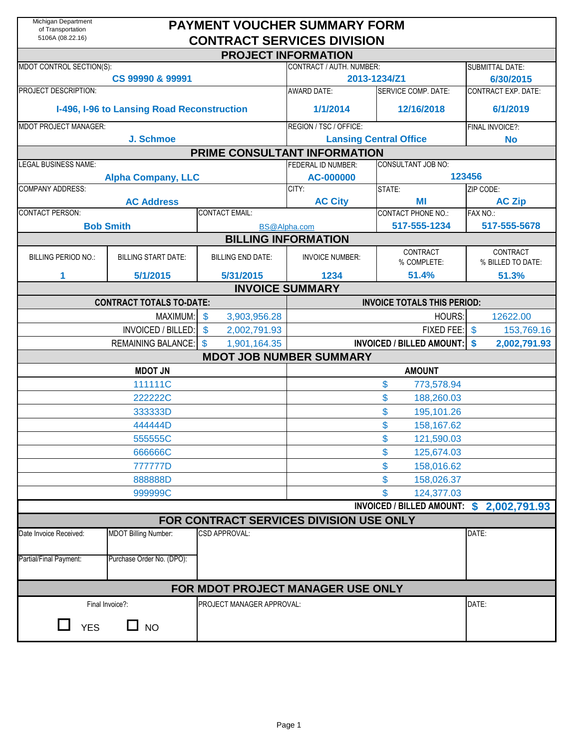| Michigan Department<br>of Transportation<br>5106A (08.22.16) |                                            | <b>PAYMENT VOUCHER SUMMARY FORM</b><br><b>CONTRACT SERVICES DIVISION</b> |                                 |                                          |                                     |  |  |
|--------------------------------------------------------------|--------------------------------------------|--------------------------------------------------------------------------|---------------------------------|------------------------------------------|-------------------------------------|--|--|
|                                                              |                                            |                                                                          | <b>PROJECT INFORMATION</b>      |                                          |                                     |  |  |
| MDOT CONTROL SECTION(S):                                     | CS 99990 & 99991                           |                                                                          | CONTRACT / AUTH. NUMBER:        | 2013-1234/Z1                             | <b>SUBMITTAL DATE:</b><br>6/30/2015 |  |  |
| <b>PROJECT DESCRIPTION:</b>                                  |                                            |                                                                          | <b>AWARD DATE:</b>              | SERVICE COMP. DATE:                      | <b>CONTRACT EXP. DATE:</b>          |  |  |
|                                                              | I-496, I-96 to Lansing Road Reconstruction |                                                                          | 1/1/2014                        | 12/16/2018                               | 6/1/2019                            |  |  |
| <b>MDOT PROJECT MANAGER:</b>                                 |                                            |                                                                          | REGION / TSC / OFFICE:          | FINAL INVOICE?:                          |                                     |  |  |
|                                                              | J. Schmoe                                  |                                                                          | <b>Lansing Central Office</b>   | <b>No</b>                                |                                     |  |  |
|                                                              |                                            | PRIME CONSULTANT INFORMATION                                             |                                 |                                          |                                     |  |  |
| <b>LEGAL BUSINESS NAME:</b>                                  |                                            |                                                                          | FEDERAL ID NUMBER:<br>AC-000000 | <b>CONSULTANT JOB NO:</b>                | 123456                              |  |  |
| <b>COMPANY ADDRESS:</b>                                      | <b>Alpha Company, LLC</b>                  |                                                                          | CITY:                           | STATE:                                   | ZIP CODE:                           |  |  |
|                                                              | <b>AC Address</b>                          |                                                                          | <b>AC City</b>                  | ΜI                                       | <b>AC Zip</b>                       |  |  |
| <b>CONTACT PERSON:</b>                                       |                                            | <b>CONTACT EMAIL:</b>                                                    |                                 | <b>CONTACT PHONE NO.:</b>                | FAX NO.:                            |  |  |
|                                                              | <b>Bob Smith</b>                           |                                                                          | BS@Alpha.com                    | 517-555-1234                             | 517-555-5678                        |  |  |
|                                                              |                                            |                                                                          | <b>BILLING INFORMATION</b>      |                                          |                                     |  |  |
| <b>BILLING PERIOD NO.:</b>                                   | <b>BILLING START DATE:</b>                 | <b>BILLING END DATE:</b>                                                 | <b>INVOICE NUMBER:</b>          | CONTRACT<br>% COMPLETE:                  | CONTRACT<br>% BILLED TO DATE:       |  |  |
| 1                                                            | 5/1/2015                                   | 5/31/2015                                                                | 1234                            | 51.4%                                    | 51.3%                               |  |  |
|                                                              |                                            |                                                                          | <b>INVOICE SUMMARY</b>          |                                          |                                     |  |  |
|                                                              | <b>CONTRACT TOTALS TO-DATE:</b>            |                                                                          |                                 | <b>INVOICE TOTALS THIS PERIOD:</b>       |                                     |  |  |
|                                                              | MAXIMUM:                                   | \$<br>3,903,956.28                                                       |                                 | HOURS:                                   | 12622.00                            |  |  |
|                                                              | INVOICED / BILLED:                         | \$<br>2,002,791.93                                                       |                                 | FIXED FEE:                               | $\sqrt[6]{3}$<br>153,769.16         |  |  |
|                                                              | <b>REMAINING BALANCE:</b>                  | \$<br>1,901,164.35                                                       |                                 | <b>INVOICED / BILLED AMOUNT: \$</b>      | 2,002,791.93                        |  |  |
|                                                              |                                            | <b>MDOT JOB NUMBER SUMMARY</b>                                           |                                 |                                          |                                     |  |  |
|                                                              | <b>MDOT JN</b>                             |                                                                          |                                 | <b>AMOUNT</b>                            |                                     |  |  |
|                                                              | 111111C                                    |                                                                          |                                 | \$<br>773,578.94                         |                                     |  |  |
|                                                              | 222222C                                    |                                                                          |                                 | \$<br>188,260.03                         |                                     |  |  |
|                                                              | 333333D                                    |                                                                          |                                 | \$<br>195,101.26                         |                                     |  |  |
|                                                              | 444444D                                    |                                                                          |                                 | \$<br>158,167.62                         |                                     |  |  |
|                                                              | 555555C                                    |                                                                          |                                 | \$<br>121,590.03                         |                                     |  |  |
|                                                              | 666666C                                    |                                                                          |                                 | \$<br>125,674.03                         |                                     |  |  |
|                                                              | 777777D                                    |                                                                          |                                 | \$<br>158,016.62                         |                                     |  |  |
|                                                              | 888888D                                    |                                                                          |                                 | \$<br>158,026.37                         |                                     |  |  |
|                                                              | 999999C                                    |                                                                          |                                 | \$<br>124,377.03                         |                                     |  |  |
|                                                              |                                            |                                                                          |                                 | INVOICED / BILLED AMOUNT: \$2,002,791.93 |                                     |  |  |
|                                                              |                                            | FOR CONTRACT SERVICES DIVISION USE ONLY                                  |                                 |                                          |                                     |  |  |
| Date Invoice Received:                                       | <b>MDOT Billing Number:</b>                | CSD APPROVAL:                                                            |                                 |                                          | DATE:                               |  |  |
|                                                              |                                            |                                                                          |                                 |                                          |                                     |  |  |
| Partial/Final Payment:                                       | Purchase Order No. (DPO):                  |                                                                          |                                 |                                          |                                     |  |  |
|                                                              |                                            | FOR MDOT PROJECT MANAGER USE ONLY                                        |                                 |                                          |                                     |  |  |
|                                                              | Final Invoice?:                            | PROJECT MANAGER APPROVAL:                                                |                                 |                                          | DATE:                               |  |  |
|                                                              | $\Box$ NO                                  |                                                                          |                                 |                                          |                                     |  |  |
| <b>YES</b>                                                   |                                            |                                                                          |                                 |                                          |                                     |  |  |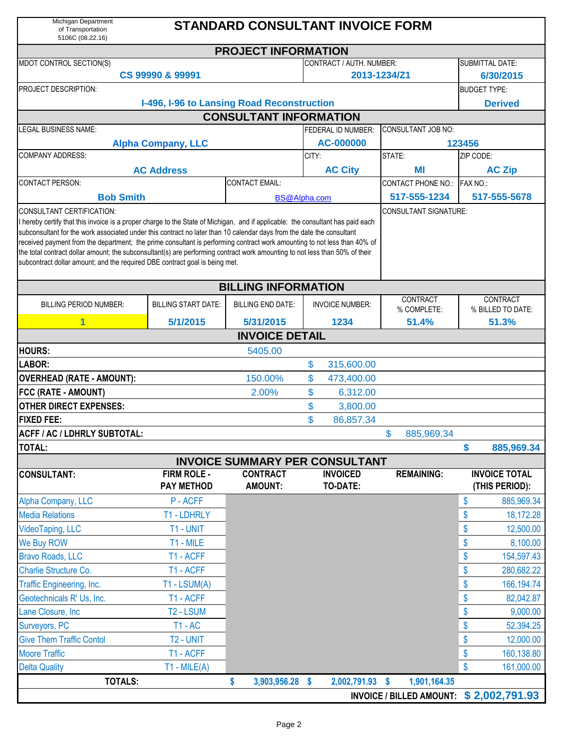| Michigan Department<br>of Transportation<br>5106C (08.22.16)                                                                                                                                                                                                                                                                                                                                                                                                                                                                                                                                                                                             |                                            | <b>STANDARD CONSULTANT INVOICE FORM</b> |       |                                    |                                         |           |                                        |  |  |  |  |
|----------------------------------------------------------------------------------------------------------------------------------------------------------------------------------------------------------------------------------------------------------------------------------------------------------------------------------------------------------------------------------------------------------------------------------------------------------------------------------------------------------------------------------------------------------------------------------------------------------------------------------------------------------|--------------------------------------------|-----------------------------------------|-------|------------------------------------|-----------------------------------------|-----------|----------------------------------------|--|--|--|--|
|                                                                                                                                                                                                                                                                                                                                                                                                                                                                                                                                                                                                                                                          |                                            | <b>PROJECT INFORMATION</b>              |       |                                    |                                         |           |                                        |  |  |  |  |
| MDOT CONTROL SECTION(S)                                                                                                                                                                                                                                                                                                                                                                                                                                                                                                                                                                                                                                  |                                            |                                         |       | CONTRACT / AUTH. NUMBER:           |                                         |           | <b>SUBMITTAL DATE:</b>                 |  |  |  |  |
|                                                                                                                                                                                                                                                                                                                                                                                                                                                                                                                                                                                                                                                          | CS 99990 & 99991                           |                                         |       |                                    | 2013-1234/Z1                            |           | 6/30/2015                              |  |  |  |  |
| PROJECT DESCRIPTION:                                                                                                                                                                                                                                                                                                                                                                                                                                                                                                                                                                                                                                     |                                            |                                         |       |                                    |                                         |           | <b>BUDGET TYPE:</b>                    |  |  |  |  |
|                                                                                                                                                                                                                                                                                                                                                                                                                                                                                                                                                                                                                                                          | I-496, I-96 to Lansing Road Reconstruction |                                         |       |                                    |                                         |           | <b>Derived</b>                         |  |  |  |  |
|                                                                                                                                                                                                                                                                                                                                                                                                                                                                                                                                                                                                                                                          |                                            | <b>CONSULTANT INFORMATION</b>           |       |                                    |                                         |           |                                        |  |  |  |  |
| LEGAL BUSINESS NAME:                                                                                                                                                                                                                                                                                                                                                                                                                                                                                                                                                                                                                                     |                                            |                                         |       | <b>FEDERAL ID NUMBER:</b>          | CONSULTANT JOB NO:                      |           |                                        |  |  |  |  |
|                                                                                                                                                                                                                                                                                                                                                                                                                                                                                                                                                                                                                                                          | <b>Alpha Company, LLC</b>                  |                                         |       | AC-000000                          |                                         | 123456    |                                        |  |  |  |  |
| <b>COMPANY ADDRESS:</b>                                                                                                                                                                                                                                                                                                                                                                                                                                                                                                                                                                                                                                  |                                            |                                         | CITY: |                                    | STATE:                                  | ZIP CODE: |                                        |  |  |  |  |
|                                                                                                                                                                                                                                                                                                                                                                                                                                                                                                                                                                                                                                                          | <b>AC Address</b>                          |                                         |       | <b>AC City</b>                     | ΜI                                      |           | <b>AC Zip</b>                          |  |  |  |  |
| <b>CONTACT PERSON:</b>                                                                                                                                                                                                                                                                                                                                                                                                                                                                                                                                                                                                                                   |                                            | <b>CONTACT EMAIL:</b>                   |       |                                    | CONTACT PHONE NO.: FAX NO.:             |           |                                        |  |  |  |  |
| <b>Bob Smith</b>                                                                                                                                                                                                                                                                                                                                                                                                                                                                                                                                                                                                                                         |                                            | <b>BS@Alpha.com</b>                     |       |                                    | 517-555-1234                            |           | 517-555-5678                           |  |  |  |  |
| CONSULTANT CERTIFICATION:<br>CONSULTANT SIGNATURE:<br>I hereby certify that this invoice is a proper charge to the State of Michigan, and if applicable: the consultant has paid each<br>subconsultant for the work associated under this contract no later than 10 calendar days from the date the consultant<br>received payment from the department; the prime consultant is performing contract work amounting to not less than 40% of<br>the total contract dollar amount; the subconsultant(s) are performing contract work amounting to not less than 50% of their<br>subcontract dollar amount; and the required DBE contract goal is being met. |                                            |                                         |       |                                    |                                         |           |                                        |  |  |  |  |
|                                                                                                                                                                                                                                                                                                                                                                                                                                                                                                                                                                                                                                                          |                                            | <b>BILLING INFORMATION</b>              |       |                                    |                                         |           |                                        |  |  |  |  |
| <b>BILLING PERIOD NUMBER:</b>                                                                                                                                                                                                                                                                                                                                                                                                                                                                                                                                                                                                                            | <b>BILLING START DATE:</b>                 | <b>BILLING END DATE:</b>                |       | <b>INVOICE NUMBER:</b>             | CONTRACT<br>% COMPLETE:                 |           | CONTRACT<br>% BILLED TO DATE:          |  |  |  |  |
| 1                                                                                                                                                                                                                                                                                                                                                                                                                                                                                                                                                                                                                                                        | 5/1/2015                                   | 5/31/2015                               |       | 1234                               | 51.4%                                   |           | 51.3%                                  |  |  |  |  |
|                                                                                                                                                                                                                                                                                                                                                                                                                                                                                                                                                                                                                                                          |                                            | <b>INVOICE DETAIL</b>                   |       |                                    |                                         |           |                                        |  |  |  |  |
| <b>HOURS:</b>                                                                                                                                                                                                                                                                                                                                                                                                                                                                                                                                                                                                                                            |                                            | 5405.00                                 |       |                                    |                                         |           |                                        |  |  |  |  |
| LABOR:                                                                                                                                                                                                                                                                                                                                                                                                                                                                                                                                                                                                                                                   |                                            |                                         | \$    | 315,600.00                         |                                         |           |                                        |  |  |  |  |
| <b>OVERHEAD (RATE - AMOUNT):</b>                                                                                                                                                                                                                                                                                                                                                                                                                                                                                                                                                                                                                         |                                            | 150.00%                                 | \$    | 473,400.00                         |                                         |           |                                        |  |  |  |  |
| FCC (RATE - AMOUNT)                                                                                                                                                                                                                                                                                                                                                                                                                                                                                                                                                                                                                                      |                                            | 2.00%                                   | \$    | 6,312.00                           |                                         |           |                                        |  |  |  |  |
| <b>OTHER DIRECT EXPENSES:</b>                                                                                                                                                                                                                                                                                                                                                                                                                                                                                                                                                                                                                            |                                            |                                         | \$    | 3,800.00                           |                                         |           |                                        |  |  |  |  |
| <b>FIXED FEE:</b>                                                                                                                                                                                                                                                                                                                                                                                                                                                                                                                                                                                                                                        |                                            |                                         | \$    | 86,857.34                          |                                         |           |                                        |  |  |  |  |
| ACFF / AC / LDHRLY SUBTOTAL:                                                                                                                                                                                                                                                                                                                                                                                                                                                                                                                                                                                                                             |                                            |                                         |       |                                    | 885,969.34<br>\$.                       |           |                                        |  |  |  |  |
| TOTAL:                                                                                                                                                                                                                                                                                                                                                                                                                                                                                                                                                                                                                                                   |                                            |                                         |       |                                    |                                         | \$        | 885,969.34                             |  |  |  |  |
|                                                                                                                                                                                                                                                                                                                                                                                                                                                                                                                                                                                                                                                          |                                            | <b>INVOICE SUMMARY PER CONSULTANT</b>   |       |                                    |                                         |           |                                        |  |  |  |  |
| <b>CONSULTANT:</b>                                                                                                                                                                                                                                                                                                                                                                                                                                                                                                                                                                                                                                       | <b>FIRM ROLE -</b><br><b>PAY METHOD</b>    | <b>CONTRACT</b><br><b>AMOUNT:</b>       |       | <b>INVOICED</b><br><b>TO-DATE:</b> | <b>REMAINING:</b>                       |           | <b>INVOICE TOTAL</b><br>(THIS PERIOD): |  |  |  |  |
| Alpha Company, LLC                                                                                                                                                                                                                                                                                                                                                                                                                                                                                                                                                                                                                                       | P-ACFF                                     |                                         |       |                                    |                                         | \$        | 885,969.34                             |  |  |  |  |
| <b>Media Relations</b>                                                                                                                                                                                                                                                                                                                                                                                                                                                                                                                                                                                                                                   | T1 - LDHRLY                                |                                         |       |                                    |                                         | \$        | 18,172.28                              |  |  |  |  |
| VideoTaping, LLC                                                                                                                                                                                                                                                                                                                                                                                                                                                                                                                                                                                                                                         | T1 - UNIT                                  |                                         |       |                                    |                                         | \$        | 12,500.00                              |  |  |  |  |
| We Buy ROW                                                                                                                                                                                                                                                                                                                                                                                                                                                                                                                                                                                                                                               | T1 - MILE                                  |                                         |       |                                    |                                         | \$        | 8,100.00                               |  |  |  |  |
| <b>Bravo Roads, LLC</b>                                                                                                                                                                                                                                                                                                                                                                                                                                                                                                                                                                                                                                  | T1 - ACFF                                  |                                         |       |                                    |                                         | \$        | 154,597.43                             |  |  |  |  |
| Charlie Structure Co.                                                                                                                                                                                                                                                                                                                                                                                                                                                                                                                                                                                                                                    | T1 - ACFF                                  |                                         |       |                                    |                                         | \$        | 280,682.22                             |  |  |  |  |
| Traffic Engineering, Inc.                                                                                                                                                                                                                                                                                                                                                                                                                                                                                                                                                                                                                                | $T1 - LSUM(A)$                             |                                         |       |                                    |                                         | \$        | 166, 194. 74                           |  |  |  |  |
| Geotechnicals R' Us, Inc.                                                                                                                                                                                                                                                                                                                                                                                                                                                                                                                                                                                                                                | T1 - ACFF                                  |                                         |       |                                    |                                         | \$        | 82,042.87                              |  |  |  |  |
| Lane Closure, Inc                                                                                                                                                                                                                                                                                                                                                                                                                                                                                                                                                                                                                                        | T2 - LSUM                                  |                                         |       |                                    |                                         | \$        | 9,000.00                               |  |  |  |  |
| Surveyors, PC                                                                                                                                                                                                                                                                                                                                                                                                                                                                                                                                                                                                                                            | $T1 - AC$                                  |                                         |       |                                    |                                         | \$        | 52,394.25                              |  |  |  |  |
| <b>Give Them Traffic Contol</b>                                                                                                                                                                                                                                                                                                                                                                                                                                                                                                                                                                                                                          | T2 - UNIT                                  |                                         |       |                                    |                                         | \$        | 12,000.00                              |  |  |  |  |
| <b>Moore Traffic</b>                                                                                                                                                                                                                                                                                                                                                                                                                                                                                                                                                                                                                                     | T1 - ACFF                                  |                                         |       |                                    |                                         | \$        | 160,138.80                             |  |  |  |  |
| <b>Delta Quality</b>                                                                                                                                                                                                                                                                                                                                                                                                                                                                                                                                                                                                                                     | $T1 - MILE(A)$                             |                                         |       |                                    |                                         | \$        | 161,000.00                             |  |  |  |  |
| <b>TOTALS:</b>                                                                                                                                                                                                                                                                                                                                                                                                                                                                                                                                                                                                                                           |                                            | \$<br>3,903,956.28 \$                   |       | 2,002,791.93 \$                    | 1,901,164.35                            |           |                                        |  |  |  |  |
|                                                                                                                                                                                                                                                                                                                                                                                                                                                                                                                                                                                                                                                          |                                            |                                         |       |                                    | INVOICE / BILLED AMOUNT: \$2,002,791.93 |           |                                        |  |  |  |  |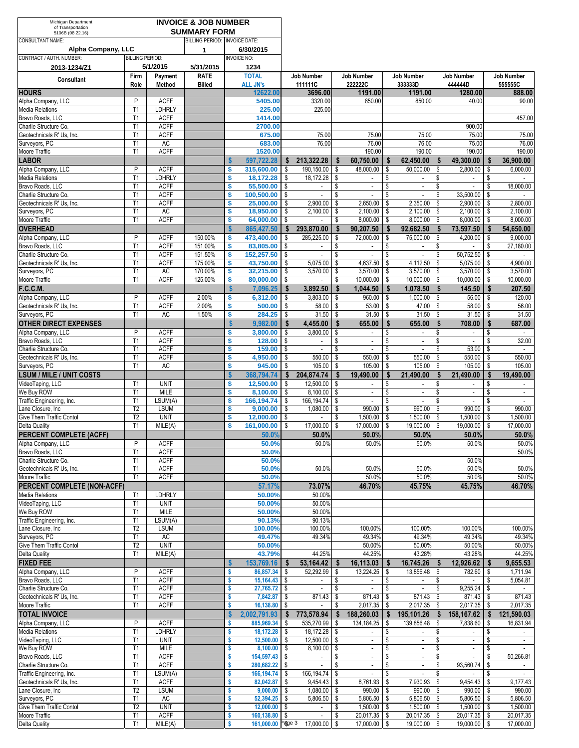| Michigan Department<br>of Transportation            |                        |                              | <b>INVOICE &amp; JOB NUMBER</b> |                               |                                  |            |                                          |          |                                       |                          |                                             |          |                                       |          |                             |
|-----------------------------------------------------|------------------------|------------------------------|---------------------------------|-------------------------------|----------------------------------|------------|------------------------------------------|----------|---------------------------------------|--------------------------|---------------------------------------------|----------|---------------------------------------|----------|-----------------------------|
| 5106B (08.22.16)                                    |                        |                              | <b>SUMMARY FORM</b>             |                               |                                  |            |                                          |          |                                       |                          |                                             |          |                                       |          |                             |
| <b>CONSULTANT NAME:</b><br>Alpha Company, LLC       |                        |                              | BILLING PERIOD: INVOICE DATE:   |                               | 6/30/2015                        |            |                                          |          |                                       |                          |                                             |          |                                       |          |                             |
| CONTRACT / AUTH. NUMBER:                            | <b>BILLING PERIOD:</b> |                              | 1                               |                               | <b>INVOICE NO:</b>               |            |                                          |          |                                       |                          |                                             |          |                                       |          |                             |
| 2013-1234/Z1                                        |                        | 5/1/2015                     | 5/31/2015                       |                               | 1234                             |            |                                          |          |                                       |                          |                                             |          |                                       |          |                             |
|                                                     | Firm                   | Payment                      | <b>RATE</b>                     |                               | <b>TOTAL</b>                     |            | <b>Job Number</b>                        |          | <b>Job Number</b>                     |                          | <b>Job Number</b>                           |          | <b>Job Number</b>                     |          | <b>Job Number</b>           |
| <b>Consultant</b>                                   | Role                   | Method                       | <b>Billed</b>                   |                               | <b>ALL JN's</b>                  |            | 111111C                                  |          | 222222C                               |                          | 333333D                                     |          | 444444D                               |          | 555555C                     |
| <b>HOURS</b>                                        |                        |                              |                                 |                               | 12622.00                         |            | 3696.00                                  |          | 1191.00                               |                          | 1191.00                                     |          | 1280.00                               |          | 888.00                      |
| Alpha Company, LLC<br><b>Media Relations</b>        | P<br>T1                | <b>ACFF</b><br><b>LDHRLY</b> |                                 |                               | 5405.00<br>225.00                |            | 3320.00<br>225.00                        |          | 850.00                                |                          | 850.00                                      |          | 40.00                                 |          | 90.00                       |
| Bravo Roads, LLC                                    | T1                     | <b>ACFF</b>                  |                                 |                               | 1414.00                          |            |                                          |          |                                       |                          |                                             |          |                                       |          | 457.00                      |
| Charlie Structure Co.                               | T1                     | <b>ACFF</b>                  |                                 |                               | 2700.00                          |            |                                          |          |                                       |                          |                                             |          | 900.00                                |          |                             |
| Geotechnicals R' Us. Inc.                           | T1                     | <b>ACFF</b>                  |                                 |                               | 675.00                           |            | 75.00                                    |          | 75.00                                 |                          | 75.00                                       |          | 75.00                                 |          | 75.00                       |
| Surveyors, PC                                       | T1                     | AC                           |                                 |                               | 683.00                           |            | 76.00                                    |          | 76.00                                 |                          | 76.00                                       |          | 75.00                                 |          | 76.00                       |
| Moore Traffic<br><b>LABOR</b>                       | T1                     | <b>ACFF</b>                  |                                 | S                             | 1520.00<br>597,722.28            | \$         | 213,322.28                               | \$       | 190.00<br>60,750.00                   | $\mathbf{s}$             | 190.00<br>62,450.00                         | \$       | 190.00<br>49,300.00                   | \$       | 190.00<br>36,900.00         |
| Alpha Company, LLC                                  | P                      | <b>ACFF</b>                  |                                 | \$                            | 315,600.00                       | \$         | 190,150.00                               | \$       | 48,000.00                             | \$                       | 50,000.00                                   | \$       | 2,800.00                              | \$       | 6,000.00                    |
| <b>Media Relations</b>                              | T1                     | <b>LDHRLY</b>                |                                 | \$                            | 18,172.28                        | \$         | 18,172.28                                | \$       | $\overline{\phantom{a}}$              | \$                       | $\sim$                                      | \$       | $\overline{\phantom{a}}$              | \$       |                             |
| Bravo Roads, LLC                                    | T1                     | <b>ACFF</b>                  |                                 | \$                            | 55,500.00                        | \$         | $\blacksquare$                           | \$       | $\overline{\phantom{a}}$              | \$                       | $\blacksquare$                              | \$       | $\sim$                                | \$       | 18,000.00                   |
| Charlie Structure Co.                               | T1                     | <b>ACFF</b>                  |                                 | \$                            | 100,500.00                       | \$         |                                          | \$       |                                       | \$                       |                                             | \$       | 33,500.00                             | \$       |                             |
| Geotechnicals R' Us, Inc.<br>Surveyors, PC          | T1<br>T1               | <b>ACFF</b><br>AC            |                                 | \$<br>\$                      | 25,000.00<br>18,950.00           | \$<br>\$   | 2,900.00<br>2,100.00                     | \$<br>\$ | 2,650.00<br>2,100.00                  | S<br>\$                  | 2,350.00<br>2,100.00                        | \$<br>\$ | 2,900.00<br>2,100.00                  | \$<br>\$ | 2,800.00<br>2,100.00        |
| Moore Traffic                                       | T1                     | <b>ACFF</b>                  |                                 | \$                            | 64,000.00                        | \$         |                                          | \$       | 8,000.00                              | \$                       | 8,000.00                                    | \$       | 8,000.00                              | \$       | 8,000.00                    |
| <b>OVERHEAD</b>                                     |                        |                              |                                 | S                             | 865.427.50                       | S          | 293,870.00                               | \$       | 90.207.50                             | $\mathbf{s}$             | 92,682.50                                   | \$       | 73,597.50                             | S        | 54,650.00                   |
| Alpha Company, LLC                                  | P                      | <b>ACFF</b>                  | 150.00%                         | \$                            | 473,400.00                       | \$         | 285,225.00                               | \$       | 72,000.00                             | \$                       | 75,000.00                                   | \$       | 4,200.00                              | \$       | 9,000.00                    |
| Bravo Roads, LLC                                    | T1                     | <b>ACFF</b>                  | 151.00%                         | \$                            | 83,805.00                        | \$         | $\blacksquare$                           | \$       | $\overline{\phantom{a}}$              | \$                       | $\overline{\phantom{a}}$                    | \$       | $\sim$                                | \$       | 27,180.00                   |
| Charlie Structure Co.                               | T <sub>1</sub><br>T1   | <b>ACFF</b><br><b>ACFF</b>   | 151.50%<br>175.00%              | \$<br>\$                      | 152,257.50                       | \$         | $\mathbb{L}$                             | \$       | $\overline{\phantom{a}}$              | \$                       | $\blacksquare$<br>4,112.50                  | \$       | 50,752.50<br>5,075.00                 | \$<br>\$ | $\sim$<br>4.900.00          |
| Geotechnicals R' Us, Inc.<br>Surveyors, PC          | T1                     | AC                           | 170.00%                         | \$                            | 43,750.00<br>32,215.00           | \$<br>\$   | 5,075.00<br>3,570.00                     | \$<br>\$ | 4,637.50<br>3,570.00                  | \$<br>\$                 | 3,570.00                                    | \$<br>\$ | 3,570.00                              | \$       | 3,570.00                    |
| Moore Traffic                                       | T1                     | <b>ACFF</b>                  | 125.00%                         | \$                            | 80,000.00                        | \$         | $\blacksquare$                           | \$       | 10.000.00                             | \$                       | 10.000.00                                   | \$       | 10,000.00                             | \$       | 10,000.00                   |
| F.C.C.M.                                            |                        |                              |                                 | Ŝ                             | 7.096.25                         | \$         | 3.892.50                                 | \$       | 1,044.50                              | $\mathbf{\hat{s}}$       | 1.078.50                                    | \$       | 145.50                                | \$       | 207.50                      |
| Alpha Company, LLC                                  | P                      | <b>ACFF</b>                  | 2.00%                           | \$                            | 6,312.00                         | \$         | 3,803.00                                 | \$       | 960.00                                | \$                       | 1,000.00                                    | \$       | 56.00                                 | \$       | 120.00                      |
| Geotechnicals R' Us, Inc.                           | T1                     | <b>ACFF</b>                  | 2.00%                           | \$                            | 500.00                           | \$         | 58.00                                    | \$       | 53.00                                 | \$                       | 47.00                                       | \$       | 58.00                                 | \$       | 56.00                       |
| Surveyors, PC<br><b>OTHER DIRECT EXPENSES</b>       | T1                     | AC                           | 1.50%                           | \$<br>$\boldsymbol{s}$        | 284.25<br>9,982.00               | -\$<br>\$  | 31.50<br>4,455.00                        | \$<br>\$ | 31.50<br>655.00                       | <b>S</b><br>\$           | 31.50<br>655.00                             | \$<br>\$ | 31.50<br>708.00                       | \$<br>\$ | 31.50<br>687.00             |
| Alpha Company, LLC                                  | P                      | <b>ACFF</b>                  |                                 | \$                            | 3,800.00                         | \$         | 3,800.00                                 | \$       | $\sim$                                | \$                       | $\sim$                                      | \$       | $\overline{\phantom{a}}$              | \$       |                             |
| Bravo Roads, LLC                                    | T1                     | <b>ACFF</b>                  |                                 | \$                            | 128.00                           | \$         | $\blacksquare$                           | \$       | $\mathcal{L}_{\mathcal{A}}$           | \$                       | $\sim$                                      | \$       | $\sim$                                | \$       | 32.00                       |
| Charlie Structure Co.                               | T1                     | <b>ACFF</b>                  |                                 | \$                            | 159.00                           | \$         | $\mathcal{L}_{\mathcal{A}}$              | \$       | $\overline{\phantom{a}}$              | \$                       | $\sim$                                      | \$       | 53.00                                 | \$       | $\sim$                      |
| Geotechnicals R' Us, Inc.                           | T1                     | <b>ACFF</b>                  |                                 | \$                            | 4,950.00                         | \$         | 550.00                                   | \$       | 550.00                                | \$                       | 550.00                                      | \$       | 550.00                                | \$       | 550.00                      |
| Surveyors, PC                                       | T1                     | AC                           |                                 | \$                            | 945.00                           | \$         | 105.00                                   | \$       | 105.00                                | Ŝ.                       | 105.00                                      | \$       | 105.00                                | \$       | 105.00                      |
| <b>LSUM / MILE / UNIT COSTS</b><br>VideoTaping, LLC | T <sub>1</sub>         | <b>UNIT</b>                  |                                 | $\mathbf{\hat{s}}$<br>\$      | 368,794.74<br>12,500.00          | Ŝ.<br>\$   | 204,874.74<br>12,500.00                  | Ŝ<br>\$  | 19,490.00<br>$\sim$                   | \$<br>\$                 | 21,490.00                                   | \$<br>\$ | 21,490.00<br>$\overline{\phantom{a}}$ | Ŝ<br>\$  | 19,490.00                   |
| We Buv ROW                                          | T1                     | MILE                         |                                 | \$                            | 8,100.00                         | \$         | 8,100.00                                 | \$       | $\overline{\phantom{a}}$              | S                        | $\overline{\phantom{a}}$                    | \$       | $\blacksquare$                        | \$       | $\blacksquare$              |
| Traffic Engineering, Inc.                           | T1                     | LSUM(A)                      |                                 | \$                            | 166,194.74                       | \$         | 166,194.74                               | \$       | $\overline{\phantom{a}}$              | S                        | $\sim$                                      | \$       | $\sim$                                | \$       | $\mathcal{L}_{\mathcal{A}}$ |
| Lane Closure, Inc.                                  | $\overline{12}$        | <b>LSUM</b>                  |                                 | \$                            | 9,000.00                         | \$         | 1,080.00                                 | \$       | 990.00                                | \$                       | 990.00                                      | \$       | 990.00                                | \$       | 990.00                      |
| Give Them Traffic Contol                            | T2<br>T1               | <b>UNIT</b>                  |                                 | $\overline{\mathbf{s}}$<br>\$ | 12,000.00<br>161.000.00          | \$<br>\$   | $\mathcal{L}_{\mathcal{A}}$<br>17,000.00 | \$<br>\$ | 1,500.00                              | $\mathbf{\hat{s}}$<br>\$ | 1,500.00<br>19,000.00                       | \$<br>\$ | 1,500.00<br>19,000.00                 | \$<br>\$ | 1,500.00<br>17,000.00       |
| Delta Quality<br>PERCENT COMPLETE (ACFF)            |                        | MILE(A)                      |                                 |                               | 50.0%                            |            | 50.0%                                    |          | 17,000.00<br>50.0%                    |                          | 50.0%                                       |          | 50.0%                                 |          | 50.0%                       |
| Alpha Company, LLC                                  | P                      | <b>ACFF</b>                  |                                 |                               | 50.0%                            |            | 50.0%                                    |          | 50.0%                                 |                          | 50.0%                                       |          | 50.0%                                 |          | 50.0%                       |
| Bravo Roads, LLC                                    | T1                     | <b>ACFF</b>                  |                                 |                               | 50.0%                            |            |                                          |          |                                       |                          |                                             |          |                                       |          | 50.0%                       |
| Charlie Structure Co.                               | T1                     | <b>ACFF</b>                  |                                 |                               | 50.0%                            |            |                                          |          |                                       |                          |                                             |          | 50.0%                                 |          |                             |
| Geotechnicals R' Us, Inc.                           | T1                     | <b>ACFF</b><br><b>ACFF</b>   |                                 |                               | 50.0%                            |            | 50.0%                                    |          | 50.0%                                 |                          | 50.0%                                       |          | 50.0%                                 |          | 50.0%                       |
| Moore Traffic<br>PERCENT COMPLETE (NON-ACFF)        | T1                     |                              |                                 |                               | 50.0%<br>57.17%                  |            | 73.07%                                   |          | 50.0%<br>46.70%                       |                          | 50.0%<br>45.75%                             |          | 50.0%<br>45.75%                       |          | 50.0%<br>46.70%             |
| Media Relations                                     | T <sub>1</sub>         | <b>LDHRLY</b>                |                                 |                               | 50.00%                           |            | 50.00%                                   |          |                                       |                          |                                             |          |                                       |          |                             |
| VideoTaping, LLC                                    | T1                     | <b>UNIT</b>                  |                                 |                               | 50.00%                           |            | 50.00%                                   |          |                                       |                          |                                             |          |                                       |          |                             |
| We Buy ROW                                          | T1                     | MILE                         |                                 |                               | 50.00%                           |            | 50.00%                                   |          |                                       |                          |                                             |          |                                       |          |                             |
| Traffic Engineering, Inc.                           | T1                     | LSUM(A)                      |                                 |                               | 90.13%                           |            | 90.13%                                   |          |                                       |                          |                                             |          | 100.00%                               |          |                             |
| Lane Closure, Inc<br>Surveyors, PC                  | T <sub>2</sub><br>T1   | <b>LSUM</b><br>AC            |                                 |                               | 100.00%<br>49.47%                |            | 100.00%<br>49.34%                        |          | 100.00%<br>49.34%                     |                          | 100.00%<br>49.34%                           |          | 49.34%                                |          | 100.00%<br>49.34%           |
| Give Them Traffic Contol                            | T <sub>2</sub>         | <b>UNIT</b>                  |                                 |                               | 50.00%                           |            |                                          |          | 50.00%                                |                          | 50.00%                                      |          | 50.00%                                |          | 50.00%                      |
| Delta Quality                                       | T1                     | MILE(A)                      |                                 |                               | 43.79%                           |            | 44.25%                                   |          | 44.25%                                |                          | 43.28%                                      |          | 43.28%                                |          | 44.25%                      |
| <b>FIXED FEE</b>                                    |                        |                              |                                 |                               | 153,769.16                       | \$         | 53,164.42                                | \$       | 16,113.03                             | - \$                     | 16,745.26                                   | \$       | 12,926.62                             | \$       | 9,655.53                    |
| Alpha Company, LLC                                  | P                      | <b>ACFF</b>                  |                                 | \$                            | 86,857.34                        | \$         | 52,292.99                                | \$       | 13,224.25 \$                          |                          | 13,856.48                                   | \$       | 782.60                                | -\$      | 1,711.94                    |
| Bravo Roads, LLC<br>Charlie Structure Co.           | T1<br>T1               | <b>ACFF</b><br><b>ACFF</b>   |                                 | \$<br>\$                      | $15,164.43$ \$<br>$27,765.72$ \$ |            | $\sim$<br>$\mathbb{L}^2$                 | \$<br>\$ | $\sim$<br>$\mathcal{L}_{\mathcal{A}}$ | \$<br>\$                 | $\sim$<br>$\blacksquare$                    | \$<br>\$ | $\sim$<br>9,255.24                    | \$<br>\$ | 5,054.81                    |
| Geotechnicals R' Us, Inc.                           | T1                     | <b>ACFF</b>                  |                                 | \$                            | 7,842.87                         | $\sqrt{ }$ | 871.43 \$                                |          | 871.43                                | \$                       | 871.43                                      |          | 871.43                                | \$       | 871.43                      |
| Moore Traffic                                       | T1                     | <b>ACFF</b>                  |                                 | Ŝ                             | 16,138.80 \$                     |            | $\blacksquare$                           | \$       | 2,017.35                              | \$                       | 2,017.35                                    | \$       | 2,017.35                              | \$       | 2,017.35                    |
| <b>TOTAL INVOICE</b>                                |                        |                              |                                 | S                             | 2,002,791.93                     | Ŝ.         | 773,578.94                               | -S       | 188,260.03                            | Ŝ.                       | 195,101.26                                  | \$       | 158,167.62                            | \$       | 121,590.03                  |
| Alpha Company, LLC                                  | P                      | <b>ACFF</b>                  |                                 | \$                            | 885,969.34 \$                    |            | 535,270.99                               | \$       | 134,184.25                            | \$                       | 139,856.48                                  | \$       | 7,838.60                              | \$       | 16,831.94                   |
| Media Relations<br>VideoTaping, LLC                 | T1<br>T1               | <b>LDHRLY</b><br><b>UNIT</b> |                                 | \$<br>\$                      | 18,172.28 \$<br>$12,500.00$ \$   |            | 18,172.28<br>12,500.00                   | \$<br>\$ | $\blacksquare$<br>$\sim$              | \$<br>\$                 | $\blacksquare$<br>$\mathbb{Z}^{\mathbb{Z}}$ | \$<br>\$ | $\blacksquare$<br>$\sim$              | \$<br>\$ | $\sim$                      |
| We Buy ROW                                          | T1                     | <b>MILE</b>                  |                                 | \$                            | $8,100.00$ \$                    |            | 8,100.00                                 | \$       | $\sim$                                | \$                       | $\blacksquare$                              | \$       | $\sim$                                | \$       |                             |
| Bravo Roads, LLC                                    | T1                     | <b>ACFF</b>                  |                                 | \$                            | 154,597.43 \$                    |            | $\sim$                                   | \$       | $\sim$                                | \$                       | $\mathbb{Z}^{\mathbb{Z}}$                   | \$       | $\overline{\phantom{a}}$              | \$       | 50,266.81                   |
| Charlie Structure Co.                               | T1                     | <b>ACFF</b>                  |                                 | \$                            | 280,682.22 \$                    |            | $\overline{\phantom{a}}$                 | \$       | $\overline{\phantom{a}}$              | \$                       | $\overline{\phantom{a}}$                    | \$       | 93,560.74                             | \$       |                             |
| Traffic Engineering, Inc.                           | T1                     | LSUM(A)                      |                                 | \$                            | 166, 194. 74 \$                  |            | 166, 194. 74                             | \$       | $\overline{\phantom{a}}$              |                          | $\blacksquare$                              |          | $\overline{\phantom{a}}$              | \$       |                             |
| Geotechnicals R' Us, Inc.<br>Lane Closure, Inc      | T1<br>T <sub>2</sub>   | <b>ACFF</b><br><b>LSUM</b>   |                                 | \$<br>\$                      | 82,042.87<br>$9,000.00$ \$       | \$         | 9,454.43<br>1,080.00                     | \$<br>\$ | 8,761.93<br>990.00                    | \$<br>\$                 | 7,930.93<br>990.00                          | \$<br>\$ | 9,454.43<br>990.00                    | \$<br>\$ | 9,177.43<br>990.00          |
| Surveyors, PC                                       | T1                     | AC                           |                                 | \$                            | $52,394.25$ \$                   |            | 5,806.50                                 | \$       | $5,806.50$ \$                         |                          | 5,806.50                                    | \$       | 5,806.50 \$                           |          | 5,806.50                    |
| Give Them Traffic Contol                            | T <sub>2</sub>         | <b>UNIT</b>                  |                                 | \$                            | $12,000.00$ \$                   |            | $\blacksquare$                           | \$       | $1,500.00$ \$                         |                          | 1,500.00                                    | \$       | 1,500.00                              | \$       | 1,500.00                    |
| Moore Traffic                                       | T1                     | <b>ACFF</b>                  |                                 | \$                            | 160,138.80 \$                    |            |                                          | \$       | 20,017.35 \$                          |                          | 20,017.35                                   | \$       | 20,017.35                             | \$       | 20,017.35                   |
| Delta Quality                                       | T1                     | MILE(A)                      |                                 | S                             | 161,000.00 Page 3                |            | 17,000.00 \$                             |          | 17,000.00 \$                          |                          | 19,000.00 \$                                |          | $19,000.00$ \$                        |          | 17,000.00                   |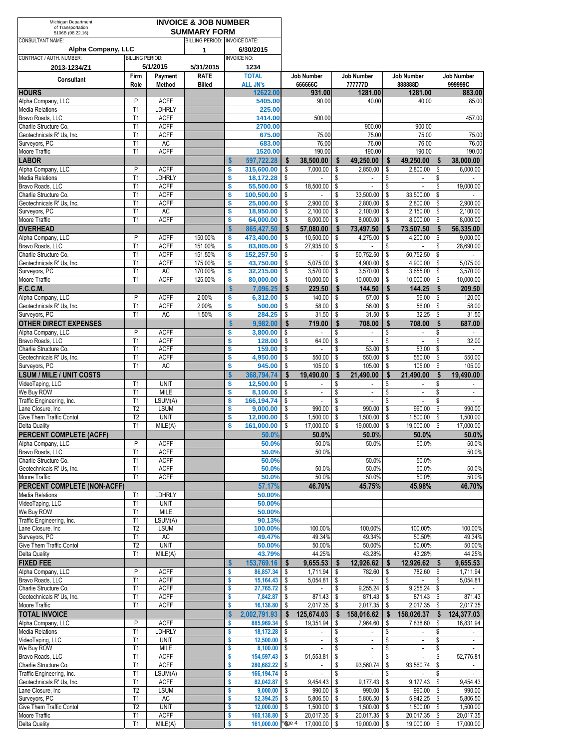| Michigan Department<br>of Transportation           |                                  |                              | <b>INVOICE &amp; JOB NUMBER</b>                      |              |                             |          |                          |          |                                       |               |                                             |          |                             |
|----------------------------------------------------|----------------------------------|------------------------------|------------------------------------------------------|--------------|-----------------------------|----------|--------------------------|----------|---------------------------------------|---------------|---------------------------------------------|----------|-----------------------------|
| 5106B (08.22.16)<br><b>CONSULTANT NAME:</b>        |                                  |                              | <b>SUMMARY FORM</b><br>BILLING PERIOD: INVOICE DATE: |              |                             |          |                          |          |                                       |               |                                             |          |                             |
| Alpha Company, LLC                                 |                                  |                              | 1                                                    |              | 6/30/2015                   |          |                          |          |                                       |               |                                             |          |                             |
| CONTRACT / AUTH. NUMBER:                           | <b>BILLING PERIOD:</b>           |                              |                                                      |              | <b>INVOICE NO:</b>          |          |                          |          |                                       |               |                                             |          |                             |
| 2013-1234/Z1                                       |                                  | 5/1/2015                     | 5/31/2015                                            |              | 1234                        |          |                          |          |                                       |               |                                             |          |                             |
| <b>Consultant</b>                                  | Firm                             | Payment                      | <b>RATE</b>                                          |              | <b>TOTAL</b>                |          | Job Number               |          | Job Number                            |               | Job Number                                  |          | <b>Job Number</b>           |
| <b>HOURS</b>                                       | Role                             | Method                       | <b>Billed</b>                                        |              | <b>ALL JN's</b><br>12622.00 |          | 66666C<br>931.00         |          | 77777D<br>1281.00                     |               | 88888D<br>1281.00                           |          | 999999C<br>883.00           |
| Alpha Company, LLC                                 | P                                | <b>ACFF</b>                  |                                                      |              | 5405.00                     |          | 90.00                    |          | 40.00                                 |               | 40.00                                       |          | 85.00                       |
| <b>Media Relations</b>                             | T1                               | <b>LDHRLY</b>                |                                                      |              | 225.00                      |          |                          |          |                                       |               |                                             |          |                             |
| Bravo Roads, LLC                                   | T1                               | <b>ACFF</b>                  |                                                      |              | 1414.00                     |          | 500.00                   |          |                                       |               |                                             |          | 457.00                      |
| Charlie Structure Co.<br>Geotechnicals R' Us, Inc. | T1<br>T1                         | <b>ACFF</b><br><b>ACFF</b>   |                                                      |              | 2700.00<br>675.00           |          | 75.00                    |          | 900.00<br>75.00                       |               | 900.00<br>75.00                             |          | 75.00                       |
| Surveyors, PC                                      | T1                               | <b>AC</b>                    |                                                      |              | 683.00                      |          | 76.00                    |          | 76.00                                 |               | 76.00                                       |          | 76.00                       |
| Moore Traffic                                      | T1                               | <b>ACFF</b>                  |                                                      |              | 1520.00                     |          | 190.00                   |          | 190.00                                |               | 190.00                                      |          | 190.00                      |
| <b>LABOR</b>                                       |                                  |                              |                                                      | Ŝ            | 597,722.28                  | \$       | 38,500.00                | S        | 49,250.00                             | Ŝ             | 49,250.00                                   | \$       | 38,000.00                   |
| Alpha Company, LLC                                 | P                                | <b>ACFF</b>                  |                                                      | \$           | 315,600.00                  | \$       | 7,000.00                 | \$       | 2,850.00                              | \$            | 2,800.00                                    | \$       | 6,000.00                    |
| <b>Media Relations</b>                             | T <sub>1</sub>                   | <b>LDHRLY</b>                |                                                      | \$           | 18,172.28                   | \$       |                          | \$       | $\mathbf{r}$                          | \$            | $\overline{\phantom{a}}$                    | \$       |                             |
| Bravo Roads, LLC<br>Charlie Structure Co.          | T1<br>T1                         | <b>ACFF</b><br><b>ACFF</b>   |                                                      | \$<br>\$     | 55,500.00<br>100,500.00     | \$<br>\$ | 18,500.00                | \$<br>\$ | $\overline{\phantom{a}}$<br>33,500.00 | \$<br>\$      | $\overline{\phantom{a}}$<br>33,500.00       | \$<br>\$ | 19,000.00                   |
| Geotechnicals R' Us, Inc.                          | T1                               | <b>ACFF</b>                  |                                                      | \$           | 25,000.00                   | \$       | 2,900.00                 | \$       | 2,800.00                              | \$            | 2,800.00                                    | \$       | 2,900.00                    |
| Surveyors, PC                                      | T1                               | AC                           |                                                      | \$           | 18,950.00                   | \$       | 2,100.00                 | \$       | 2,100.00                              | \$            | 2,150.00                                    | \$       | 2,100.00                    |
| Moore Traffic                                      | T1                               | <b>ACFF</b>                  |                                                      | \$           | 64,000.00                   | \$       | 8.000.00                 | \$       | 8,000.00                              | \$            | 8,000.00                                    | \$       | 8,000.00                    |
| <b>OVERHEAD</b>                                    |                                  |                              |                                                      | \$           | 865,427.50                  | \$       | 57,080.00                | \$       | 73,497.50                             | \$            | 73,507.50                                   | \$       | 56,335.00                   |
| Alpha Company, LLC                                 | P                                | <b>ACFF</b>                  | 150.00%                                              | \$           | 473,400.00                  | \$       | 10,500.00                | \$       | 4,275.00                              | \$            | 4,200.00                                    | \$       | 9.000.00                    |
| Bravo Roads, LLC<br>Charlie Structure Co.          | T <sub>1</sub><br>T1             | <b>ACFF</b><br><b>ACFF</b>   | 151.00%<br>151.50%                                   | \$<br>\$     | 83,805.00<br>152,257.50     | \$<br>\$ | 27,935.00<br>$\sim$      | \$<br>\$ | ٠<br>50,752.50                        | \$<br>\$      | $\sim$<br>50,752.50                         | \$<br>\$ | 28,690.00                   |
| Geotechnicals R' Us, Inc.                          | T <sub>1</sub>                   | <b>ACFF</b>                  | 175.00%                                              | \$           | 43,750.00                   | \$       | 5,075.00                 | \$       | 4.900.00                              | \$            | 4,900.00                                    | \$       | 5,075.00                    |
| Surveyors, PC                                      | T1                               | AC                           | 170.00%                                              | \$           | 32,215.00                   | \$       | 3,570.00                 | \$       | 3,570.00                              | \$            | 3,655.00                                    | \$       | 3,570.00                    |
| Moore Traffic                                      | T1                               | <b>ACFF</b>                  | 125.00%                                              | \$           | 80,000.00                   | \$       | 10.000.00                | \$       | 10,000.00                             | \$            | 10,000.00                                   | \$       | 10,000.00                   |
| <b>F.C.C.M.</b>                                    |                                  |                              |                                                      | \$           | 7,096.25                    | \$       | 229.50                   | \$       | 144.50                                | $\mathbf{\$}$ | 144.25                                      | \$       | 209.50                      |
| Alpha Company, LLC                                 | P                                | <b>ACFF</b><br><b>ACFF</b>   | 2.00%<br>2.00%                                       | \$<br>\$     | 6,312.00                    | \$       | 140.00                   | \$       | 57.00                                 | \$            | 56.00                                       | \$       | 120.00                      |
| Geotechnicals R' Us, Inc.<br>Surveyors, PC         | T <sub>1</sub><br>T1             | <b>AC</b>                    | 1.50%                                                | \$           | 500.00<br>284.25            | \$<br>\$ | 58.00<br>31.50           | \$<br>\$ | 56.00<br>31.50                        | \$<br>\$      | 56.00<br>32.25                              | \$<br>\$ | 58.00<br>31.50              |
| <b>OTHER DIRECT EXPENSES</b>                       |                                  |                              |                                                      | $\mathbf{s}$ | 9,982.00                    | \$       | 719.00                   | \$       | 708.00                                | $\mathbf{s}$  | 708.00                                      | \$       | 687.00                      |
| Alpha Company, LLC                                 | P                                | <b>ACFF</b>                  |                                                      | \$           | 3,800.00                    | \$       |                          | \$       | $\sim$                                | \$            | $\overline{\phantom{a}}$                    | \$       |                             |
| Bravo Roads, LLC                                   | T1                               | <b>ACFF</b>                  |                                                      | \$           | 128.00                      | \$       | 64.00                    | \$       | $\sim$                                | \$            | $\mathbf{r}$                                | \$       | 32.00                       |
| Charlie Structure Co.                              | T1                               | <b>ACFF</b>                  |                                                      | \$           | 159.00                      | \$       | $\mathbf{r}$             | \$       | 53.00                                 | \$            | 53.00                                       | \$       | $\sim$                      |
| Geotechnicals R' Us, Inc.<br>Surveyors, PC         | T1<br>T1                         | <b>ACFF</b><br>AC            |                                                      | \$<br>\$     | 4,950.00<br>945.00          | \$<br>\$ | 550.00<br>105.00         | \$<br>\$ | 550.00<br>105.00                      | \$<br>\$      | 550.00<br>105.00                            | \$<br>\$ | 550.00<br>105.00            |
| <b>LSUM / MILE / UNIT COSTS</b>                    |                                  |                              |                                                      | \$           | 368,794.74                  | \$       | 19,490.00                | \$       | 21,490.00                             | Ŝ             | 21,490.00                                   | \$       | 19,490.00                   |
| VideoTaping, LLC                                   | T <sub>1</sub>                   | <b>UNIT</b>                  |                                                      | \$           | 12,500.00                   | \$       |                          | \$       |                                       | S             |                                             | \$       |                             |
| We Buy ROW                                         | T <sub>1</sub>                   | <b>MILE</b>                  |                                                      | \$           | 8,100.00                    | \$       | $\overline{\phantom{a}}$ | \$       | ÷,                                    | \$            | $\overline{\phantom{a}}$                    | \$       | $\mathcal{L}_{\mathcal{A}}$ |
| Traffic Engineering, Inc.                          | T <sub>1</sub>                   | LSUM(A)                      |                                                      | \$           | 166,194.74                  | \$       | $\sim$                   | \$       | ÷,                                    | \$            | $\overline{\phantom{a}}$                    | \$       | $\mathbf{r}$                |
| Lane Closure, Inc.<br>Give Them Traffic Contol     | T <sub>2</sub><br>T <sub>2</sub> | <b>LSUM</b><br><b>UNIT</b>   |                                                      | \$           | 9,000.00                    | \$       | 990.00                   | S        | 990.00<br>1,500.00                    | \$<br>\$      | 990.00<br>1,500.00                          | \$<br>\$ | 990.00<br>1,500.00          |
| <b>Delta Quality</b>                               | T1                               | MILE(A)                      |                                                      | \$<br>\$     | 12,000.00<br>161.000.00     | \$<br>\$ | 1,500.00<br>17,000.00    | \$<br>\$ | 19,000.00                             | \$            | 19,000.00                                   | \$       | 17,000.00                   |
| PERCENT COMPLETE (ACFF)                            |                                  |                              |                                                      |              | 50.0%                       |          | 50.0%                    |          | 50.0%                                 |               | 50.0%                                       |          | 50.0%                       |
| Alpha Company, LLC                                 | P                                | <b>ACFF</b>                  |                                                      |              | 50.0%                       |          | 50.0%                    |          | 50.0%                                 |               | 50.0%                                       |          | 50.0%                       |
| Bravo Roads, LLC                                   | T <sub>1</sub>                   | <b>ACFF</b>                  |                                                      |              | 50.0%                       |          | 50.0%                    |          |                                       |               |                                             |          | 50.0%                       |
| Charlie Structure Co.<br>Geotechnicals R' Us. Inc. | T1                               | <b>ACFF</b>                  |                                                      |              | 50.0%                       |          |                          |          | 50.0%                                 |               | 50.0%                                       |          |                             |
| Moore Traffic                                      | T1<br>T <sub>1</sub>             | <b>ACFF</b><br><b>ACFF</b>   |                                                      |              | 50.0%<br>50.0%              |          | 50.0%<br>50.0%           |          | 50.0%<br>50.0%                        |               | 50.0%<br>50.0%                              |          | 50.0%<br>50.0%              |
| PERCENT COMPLETE (NON-ACFF)                        |                                  |                              |                                                      |              | 57.17%                      |          | 46.70%                   |          | 45.75%                                |               | 45.98%                                      |          | 46.70%                      |
| <b>Media Relations</b>                             | T <sub>1</sub>                   | <b>LDHRLY</b>                |                                                      |              | 50.00%                      |          |                          |          |                                       |               |                                             |          |                             |
| VideoTaping, LLC                                   | T1                               | <b>UNIT</b>                  |                                                      |              | 50.00%                      |          |                          |          |                                       |               |                                             |          |                             |
| We Buy ROW                                         | T <sub>1</sub>                   | <b>MILE</b>                  |                                                      |              | 50.00%                      |          |                          |          |                                       |               |                                             |          |                             |
| Traffic Engineering, Inc.<br>Lane Closure, Inc.    | T1<br>T <sub>2</sub>             | LSUM(A)<br><b>LSUM</b>       |                                                      |              | 90.13%<br>100.00%           |          | 100.00%                  |          | 100.00%                               |               | 100.00%                                     |          | 100.00%                     |
| Surveyors, PC                                      | T <sub>1</sub>                   | AC                           |                                                      |              | 49.47%                      |          | 49.34%                   |          | 49.34%                                |               | 50.50%                                      |          | 49.34%                      |
| Give Them Traffic Contol                           | T <sub>2</sub>                   | <b>UNIT</b>                  |                                                      |              | 50.00%                      |          | 50.00%                   |          | 50.00%                                |               | 50.00%                                      |          | 50.00%                      |
| Delta Quality                                      | T <sub>1</sub>                   | MILE(A)                      |                                                      |              | 43.79%                      |          | 44.25%                   |          | 43.28%                                |               | 43.28%                                      |          | 44.25%                      |
| <b>FIXED FEE</b>                                   |                                  |                              |                                                      | \$           | 153,769.16                  | \$       | 9,655.53                 | \$       | 12,926.62                             | - \$          | 12,926.62                                   | \$       | 9,655.53                    |
| Alpha Company, LLC                                 | P                                | <b>ACFF</b>                  |                                                      | \$           | 86,857.34                   | \$       | 1,711.94                 | \$       | 782.60 \$                             |               | 782.60                                      | \$       | 1,711.94                    |
| Bravo Roads, LLC<br>Charlie Structure Co.          | T <sub>1</sub><br>T1             | <b>ACFF</b><br><b>ACFF</b>   |                                                      | \$<br>\$     | 15,164.43<br>27,765.72      | \$<br>\$ | 5,054.81                 | \$<br>\$ | $\sim$<br>9,255.24                    | \$<br>\$      | $\sim$<br>9,255.24                          | \$<br>\$ | 5,054.81                    |
| Geotechnicals R' Us, Inc.                          | T <sub>1</sub>                   | <b>ACFF</b>                  |                                                      | \$           | 7,842.87                    | \$       | 871.43                   | \$       | 871.43                                | -\$           | 871.43                                      | \$       | 871.43                      |
| Moore Traffic                                      | T1                               | <b>ACFF</b>                  |                                                      |              | 16,138.80                   | \$       | 2,017.35                 | \$       | 2,017.35                              | -\$           | 2,017.35                                    | \$       | 2,017.35                    |
| <b>TOTAL INVOICE</b>                               |                                  |                              |                                                      |              | 2,002,791.93                | -S       | 125,674.03               | \$       | 158,016.62                            | Ŝ.            | 158,026.37                                  | \$       | 124,377.03                  |
| Alpha Company, LLC                                 | P                                | <b>ACFF</b>                  |                                                      | \$           | 885,969.34                  | \$       | 19,351.94                | \$       | 7,964.60                              | -\$           | 7,838.60                                    | \$       | 16,831.94                   |
| <b>Media Relations</b><br>VideoTaping, LLC         | T1<br>T <sub>1</sub>             | <b>LDHRLY</b><br><b>UNIT</b> |                                                      | \$<br>\$     | 18,172.28<br>$12,500.00$ \$ | \$       | $\blacksquare$<br>$\sim$ | \$<br>\$ | $\blacksquare$<br>$\mathbb{Z}^+$      | \$<br>\$      | $\blacksquare$<br>$\mathbb{Z}^{\mathbb{Z}}$ | \$<br>\$ | $\sim$                      |
| We Buy ROW                                         | T <sub>1</sub>                   | <b>MILE</b>                  |                                                      | \$           | $8,100.00$ \$               |          | $\overline{\phantom{a}}$ | \$       | $\blacksquare$                        | \$            | $\blacksquare$                              | \$       |                             |
| Bravo Roads, LLC                                   | T1                               | <b>ACFF</b>                  |                                                      | \$           | 154,597.43                  | \$       | 51,553.81                | \$       | $\mathbb{L}^{\mathbb{N}}$             | \$            | $\overline{\phantom{a}}$                    | \$       | 52,776.81                   |
| Charlie Structure Co.                              | T <sub>1</sub>                   | <b>ACFF</b>                  |                                                      | \$           | 280,682.22                  | \$       | $\sim$                   | \$       | 93,560.74                             | \$            | 93,560.74                                   | \$       |                             |
| Traffic Engineering, Inc.                          | T1                               | LSUM(A)                      |                                                      | \$           | 166, 194. 74                | \$       | $\blacksquare$           |          |                                       |               |                                             |          |                             |
| Geotechnicals R' Us, Inc.<br>Lane Closure, Inc     | T <sub>1</sub><br>T <sub>2</sub> | <b>ACFF</b><br>LSUM          |                                                      | \$<br>\$     | 82,042.87<br>9,000.00       | \$<br>\$ | 9,454.43<br>990.00       | \$<br>\$ | 9,177.43<br>990.00                    | \$<br>\$      | 9,177.43<br>990.00                          | \$<br>\$ | 9,454.43<br>990.00          |
| Surveyors, PC                                      | T1                               | AC                           |                                                      |              | 52,394.25                   | \$       | 5,806.50                 | \$       | 5,806.50                              | \$            | 5,942.25                                    | \$       | 5,806.50                    |
| Give Them Traffic Contol                           | T <sub>2</sub>                   | <b>UNIT</b>                  |                                                      | \$           | 12,000.00                   | \$       | 1,500.00                 | \$       | 1,500.00                              | \$            | 1,500.00                                    | \$       | 1,500.00                    |
| Moore Traffic                                      | T1                               | <b>ACFF</b>                  |                                                      | \$           | 160,138.80                  | \$       | 20,017.35                | \$       | 20,017.35                             | \$            | 20,017.35                                   | \$       | 20,017.35                   |
| <b>Delta Quality</b>                               | T1                               | MILE(A)                      |                                                      | \$           | 161,000.00 Page 4           |          | 17,000.00 \$             |          | 19,000.00                             | - \$          | 19,000.00 \$                                |          | 17,000.00                   |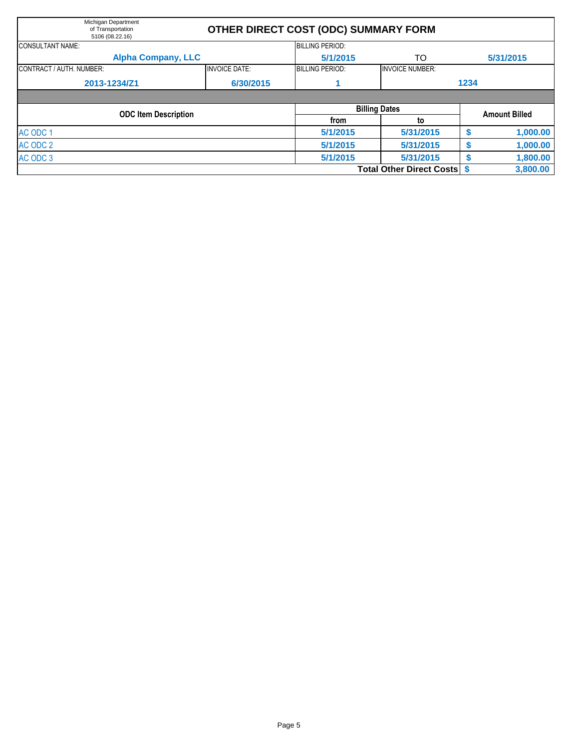| Michigan Department<br>of Transportation<br>5106 (08.22.16) |                      | OTHER DIRECT COST (ODC) SUMMARY FORM |                                 |      |           |  |  |  |  |
|-------------------------------------------------------------|----------------------|--------------------------------------|---------------------------------|------|-----------|--|--|--|--|
| <b>CONSULTANT NAME:</b>                                     |                      | <b>BILLING PERIOD:</b>               |                                 |      |           |  |  |  |  |
| <b>Alpha Company, LLC</b>                                   |                      | 5/1/2015                             | TO                              |      | 5/31/2015 |  |  |  |  |
| CONTRACT / AUTH. NUMBER:                                    | <b>INVOICE DATE:</b> | <b>BILLING PERIOD:</b>               | <b>INVOICE NUMBER:</b>          |      |           |  |  |  |  |
| 2013-1234/Z1                                                | 6/30/2015            |                                      |                                 | 1234 |           |  |  |  |  |
|                                                             |                      |                                      | <b>Billing Dates</b>            |      |           |  |  |  |  |
| <b>ODC Item Description</b>                                 |                      | from                                 | <b>Amount Billed</b>            |      |           |  |  |  |  |
|                                                             |                      | 5/1/2015                             | to<br>5/31/2015                 |      |           |  |  |  |  |
| AC ODC 1                                                    |                      |                                      |                                 | \$   | 1,000.00  |  |  |  |  |
| AC ODC 2                                                    |                      | 5/1/2015                             | 5/31/2015                       | S    | 1,000.00  |  |  |  |  |
| AC ODC 3                                                    |                      | 5/1/2015                             | 5/31/2015                       | S    | 1,800.00  |  |  |  |  |
|                                                             |                      |                                      | <b>Total Other Direct Costs</b> |      | 3,800.00  |  |  |  |  |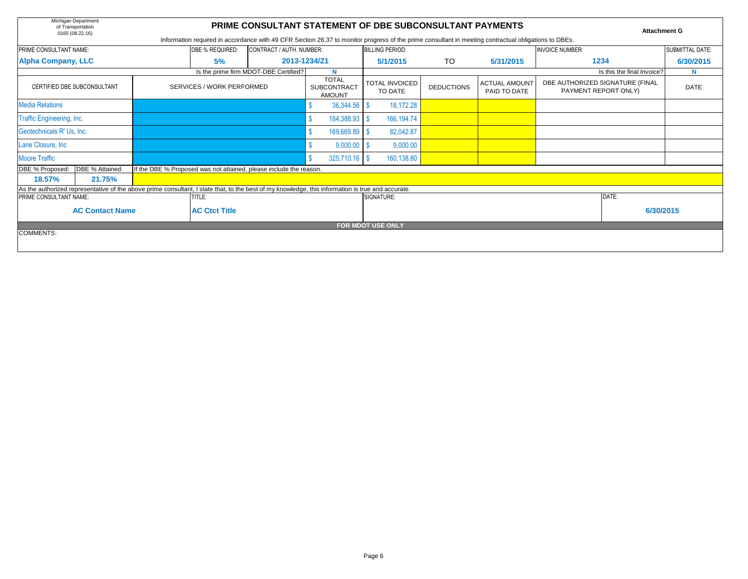|                                                | Michigan Department<br><b>PRIME CONSULTANT STATEMENT OF DBE SUBCONSULTANT PAYMENTS</b><br>of Transportation<br><b>Attachment G</b><br>0165 (08.22.16)<br>Information required in accordance with 49 CFR Section 26.37 to monitor progress of the prime consultant in meeting contractual obligations to DBEs. |  |                                                                                                                                                   |                                       |                                  |                          |                                      |                                                         |    |             |                            |                        |           |  |  |
|------------------------------------------------|---------------------------------------------------------------------------------------------------------------------------------------------------------------------------------------------------------------------------------------------------------------------------------------------------------------|--|---------------------------------------------------------------------------------------------------------------------------------------------------|---------------------------------------|----------------------------------|--------------------------|--------------------------------------|---------------------------------------------------------|----|-------------|----------------------------|------------------------|-----------|--|--|
|                                                | PRIME CONSULTANT NAME:<br>CONTRACT / AUTH. NUMBER:<br>DBE % REQUIRED:                                                                                                                                                                                                                                         |  |                                                                                                                                                   |                                       |                                  |                          |                                      | <b>BILLING PERIOD:</b>                                  |    |             | <b>INVOICE NUMBER:</b>     | <b>SUBMITTAL DATE:</b> |           |  |  |
| <b>Alpha Company, LLC</b>                      |                                                                                                                                                                                                                                                                                                               |  | 5%                                                                                                                                                |                                       | 2013-1234/Z1                     |                          |                                      | 5/1/2015                                                | TO | 5/31/2015   | 1234                       |                        | 6/30/2015 |  |  |
|                                                |                                                                                                                                                                                                                                                                                                               |  |                                                                                                                                                   | Is the prime firm MDOT-DBE Certified? |                                  | N                        |                                      |                                                         |    |             | Is this the final Invoice? |                        | N         |  |  |
|                                                | CERTIFIED DBE SUBCONSULTANT<br>SERVICES / WORK PERFORMED                                                                                                                                                                                                                                                      |  | <b>TOTAL</b><br><b>SUBCONTRACT</b><br><b>AMOUNT</b>                                                                                               |                                       | <b>TOTAL INVOICED</b><br>TO DATE | <b>DEDUCTIONS</b>        | <b>ACTUAL AMOUNT</b><br>PAID TO DATE | DBE AUTHORIZED SIGNATURE (FINAL<br>PAYMENT REPORT ONLY) |    | <b>DATE</b> |                            |                        |           |  |  |
| Media Relations                                |                                                                                                                                                                                                                                                                                                               |  |                                                                                                                                                   |                                       |                                  | 36,344.56 \$             |                                      | 18,172.28                                               |    |             |                            |                        |           |  |  |
|                                                | <b>Traffic Engineering, Inc.</b>                                                                                                                                                                                                                                                                              |  |                                                                                                                                                   |                                       | 184,388.93 \$                    |                          | 166, 194. 74                         |                                                         |    |             |                            |                        |           |  |  |
|                                                | Geotechnicals R' Us, Inc.                                                                                                                                                                                                                                                                                     |  |                                                                                                                                                   |                                       |                                  | 169,669.89 \$            |                                      | 82,042.87                                               |    |             |                            |                        |           |  |  |
| Lane Closure, Inc                              |                                                                                                                                                                                                                                                                                                               |  |                                                                                                                                                   |                                       |                                  | 9,000.00                 |                                      | 9,000.00                                                |    |             |                            |                        |           |  |  |
| Moore Traffic                                  |                                                                                                                                                                                                                                                                                                               |  |                                                                                                                                                   |                                       |                                  | 325,710.16 \$            |                                      | 160,138.80                                              |    |             |                            |                        |           |  |  |
| DBE % Proposed:                                | DBE % Attained:                                                                                                                                                                                                                                                                                               |  | If the DBE % Proposed was not attained, please include the reason.                                                                                |                                       |                                  |                          |                                      |                                                         |    |             |                            |                        |           |  |  |
| 18.57%                                         | 21.75%                                                                                                                                                                                                                                                                                                        |  |                                                                                                                                                   |                                       |                                  |                          |                                      |                                                         |    |             |                            |                        |           |  |  |
|                                                |                                                                                                                                                                                                                                                                                                               |  | As the authorized representative of the above prime consultant, I state that, to the best of my knowledge, this information is true and accurate. |                                       |                                  |                          |                                      |                                                         |    |             |                            |                        |           |  |  |
| PRIME CONSULTANT NAME:                         |                                                                                                                                                                                                                                                                                                               |  | TITLE:                                                                                                                                            |                                       |                                  |                          |                                      | SIGNATURE:                                              |    |             | DATE:                      |                        |           |  |  |
| <b>AC Contact Name</b><br><b>AC Ctct Title</b> |                                                                                                                                                                                                                                                                                                               |  |                                                                                                                                                   |                                       |                                  |                          |                                      |                                                         |    |             | 6/30/2015                  |                        |           |  |  |
|                                                |                                                                                                                                                                                                                                                                                                               |  |                                                                                                                                                   |                                       |                                  | <b>FOR MDOT USE ONLY</b> |                                      |                                                         |    |             |                            |                        |           |  |  |
| <b>COMMENTS:</b>                               |                                                                                                                                                                                                                                                                                                               |  |                                                                                                                                                   |                                       |                                  |                          |                                      |                                                         |    |             |                            |                        |           |  |  |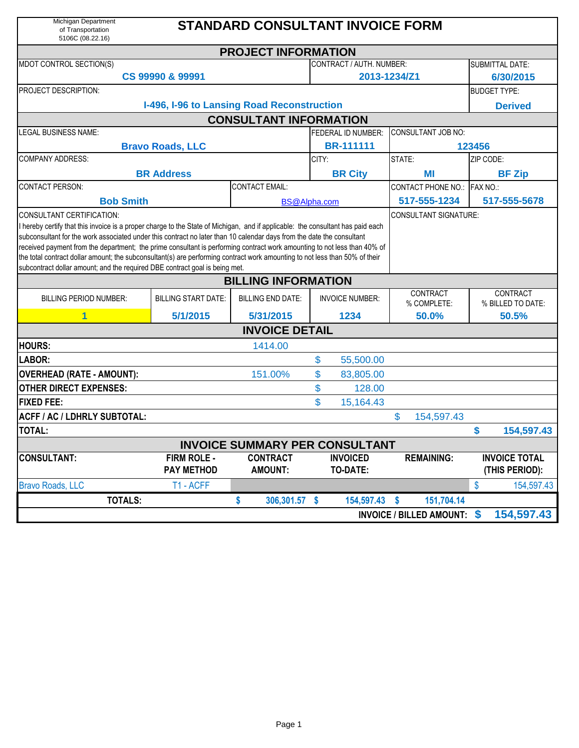| Michigan Department<br>of Transportation<br>5106C (08.22.16)                                                                                                                                                                                                                                                                                                                                                                                                                                                                                                                                       |                                            | <b>STANDARD CONSULTANT INVOICE FORM</b> |                  |                                    |                             |                   |                                        |  |  |  |  |  |
|----------------------------------------------------------------------------------------------------------------------------------------------------------------------------------------------------------------------------------------------------------------------------------------------------------------------------------------------------------------------------------------------------------------------------------------------------------------------------------------------------------------------------------------------------------------------------------------------------|--------------------------------------------|-----------------------------------------|------------------|------------------------------------|-----------------------------|-------------------|----------------------------------------|--|--|--|--|--|
|                                                                                                                                                                                                                                                                                                                                                                                                                                                                                                                                                                                                    |                                            | <b>PROJECT INFORMATION</b>              |                  |                                    |                             |                   |                                        |  |  |  |  |  |
| MDOT CONTROL SECTION(S)                                                                                                                                                                                                                                                                                                                                                                                                                                                                                                                                                                            |                                            |                                         |                  | <b>CONTRACT / AUTH. NUMBER:</b>    |                             |                   | <b>SUBMITTAL DATE:</b>                 |  |  |  |  |  |
|                                                                                                                                                                                                                                                                                                                                                                                                                                                                                                                                                                                                    | CS 99990 & 99991                           |                                         |                  |                                    | 2013-1234/Z1                |                   | 6/30/2015                              |  |  |  |  |  |
| PROJECT DESCRIPTION:                                                                                                                                                                                                                                                                                                                                                                                                                                                                                                                                                                               |                                            |                                         |                  |                                    |                             |                   | <b>BUDGET TYPE:</b>                    |  |  |  |  |  |
|                                                                                                                                                                                                                                                                                                                                                                                                                                                                                                                                                                                                    | I-496, I-96 to Lansing Road Reconstruction |                                         |                  |                                    |                             |                   | <b>Derived</b>                         |  |  |  |  |  |
|                                                                                                                                                                                                                                                                                                                                                                                                                                                                                                                                                                                                    |                                            | <b>CONSULTANT INFORMATION</b>           |                  |                                    |                             |                   |                                        |  |  |  |  |  |
| <b>LEGAL BUSINESS NAME:</b>                                                                                                                                                                                                                                                                                                                                                                                                                                                                                                                                                                        |                                            |                                         |                  | <b>FEDERAL ID NUMBER:</b>          | <b>CONSULTANT JOB NO:</b>   |                   |                                        |  |  |  |  |  |
| <b>Bravo Roads, LLC</b>                                                                                                                                                                                                                                                                                                                                                                                                                                                                                                                                                                            |                                            |                                         | <b>BR-111111</b> |                                    | 123456                      |                   |                                        |  |  |  |  |  |
| <b>COMPANY ADDRESS:</b>                                                                                                                                                                                                                                                                                                                                                                                                                                                                                                                                                                            |                                            |                                         | CITY:            |                                    | STATE:                      |                   | ZIP CODE:                              |  |  |  |  |  |
|                                                                                                                                                                                                                                                                                                                                                                                                                                                                                                                                                                                                    | <b>BR Address</b>                          |                                         |                  | <b>BR City</b>                     | ΜI                          |                   | <b>BF Zip</b>                          |  |  |  |  |  |
| <b>CONTACT PERSON:</b>                                                                                                                                                                                                                                                                                                                                                                                                                                                                                                                                                                             |                                            | <b>CONTACT EMAIL:</b>                   |                  |                                    | <b>CONTACT PHONE NO.:</b>   |                   | FAX NO.:                               |  |  |  |  |  |
| <b>Bob Smith</b>                                                                                                                                                                                                                                                                                                                                                                                                                                                                                                                                                                                   | BS@Alpha.com                               |                                         |                  |                                    |                             |                   | 517-555-5678                           |  |  |  |  |  |
| I hereby certify that this invoice is a proper charge to the State of Michigan, and if applicable: the consultant has paid each<br>subconsultant for the work associated under this contract no later than 10 calendar days from the date the consultant<br>received payment from the department; the prime consultant is performing contract work amounting to not less than 40% of<br>the total contract dollar amount; the subconsultant(s) are performing contract work amounting to not less than 50% of their<br>subcontract dollar amount; and the required DBE contract goal is being met. |                                            |                                         |                  |                                    |                             |                   |                                        |  |  |  |  |  |
| <b>BILLING INFORMATION</b>                                                                                                                                                                                                                                                                                                                                                                                                                                                                                                                                                                         |                                            |                                         |                  |                                    |                             |                   |                                        |  |  |  |  |  |
| <b>BILLING PERIOD NUMBER:</b>                                                                                                                                                                                                                                                                                                                                                                                                                                                                                                                                                                      | <b>BILLING START DATE:</b>                 | <b>BILLING END DATE:</b>                |                  | <b>INVOICE NUMBER:</b>             | CONTRACT<br>% COMPLETE:     |                   | CONTRACT<br>% BILLED TO DATE:          |  |  |  |  |  |
| 1                                                                                                                                                                                                                                                                                                                                                                                                                                                                                                                                                                                                  | 5/1/2015                                   | 5/31/2015                               |                  | 1234                               | 50.0%                       |                   | 50.5%                                  |  |  |  |  |  |
|                                                                                                                                                                                                                                                                                                                                                                                                                                                                                                                                                                                                    |                                            | <b>INVOICE DETAIL</b>                   |                  |                                    |                             |                   |                                        |  |  |  |  |  |
| <b>HOURS:</b>                                                                                                                                                                                                                                                                                                                                                                                                                                                                                                                                                                                      |                                            | 1414.00                                 |                  |                                    |                             |                   |                                        |  |  |  |  |  |
| LABOR:                                                                                                                                                                                                                                                                                                                                                                                                                                                                                                                                                                                             |                                            |                                         | \$               | 55,500.00                          |                             |                   |                                        |  |  |  |  |  |
| <b>OVERHEAD (RATE - AMOUNT):</b>                                                                                                                                                                                                                                                                                                                                                                                                                                                                                                                                                                   |                                            | 151.00%                                 | \$               | 83,805.00                          |                             |                   |                                        |  |  |  |  |  |
| <b>OTHER DIRECT EXPENSES:</b>                                                                                                                                                                                                                                                                                                                                                                                                                                                                                                                                                                      |                                            |                                         | \$               | 128.00                             |                             |                   |                                        |  |  |  |  |  |
| <b>FIXED FEE:</b>                                                                                                                                                                                                                                                                                                                                                                                                                                                                                                                                                                                  |                                            |                                         | \$               | 15,164.43                          |                             |                   |                                        |  |  |  |  |  |
| <b>ACFF / AC / LDHRLY SUBTOTAL:</b>                                                                                                                                                                                                                                                                                                                                                                                                                                                                                                                                                                |                                            |                                         |                  |                                    | \$<br>154,597.43            |                   |                                        |  |  |  |  |  |
| <b>TOTAL:</b>                                                                                                                                                                                                                                                                                                                                                                                                                                                                                                                                                                                      |                                            |                                         |                  |                                    |                             | \$                | 154,597.43                             |  |  |  |  |  |
|                                                                                                                                                                                                                                                                                                                                                                                                                                                                                                                                                                                                    |                                            | <b>INVOICE SUMMARY PER CONSULTANT</b>   |                  |                                    |                             |                   |                                        |  |  |  |  |  |
| <b>CONSULTANT:</b>                                                                                                                                                                                                                                                                                                                                                                                                                                                                                                                                                                                 | FIRM ROLE -<br><b>PAY METHOD</b>           | <b>CONTRACT</b><br><b>AMOUNT:</b>       |                  | <b>INVOICED</b><br><b>TO-DATE:</b> | <b>REMAINING:</b>           |                   | <b>INVOICE TOTAL</b><br>(THIS PERIOD): |  |  |  |  |  |
| <b>Bravo Roads, LLC</b>                                                                                                                                                                                                                                                                                                                                                                                                                                                                                                                                                                            | T1 - ACFF                                  |                                         |                  |                                    |                             | $\boldsymbol{\$}$ | 154,597.43                             |  |  |  |  |  |
| <b>TOTALS:</b>                                                                                                                                                                                                                                                                                                                                                                                                                                                                                                                                                                                     |                                            | \$<br>306,301.57 \$                     |                  | 154,597.43                         | 151,704.14<br>$\mathbf{\$}$ |                   |                                        |  |  |  |  |  |
|                                                                                                                                                                                                                                                                                                                                                                                                                                                                                                                                                                                                    |                                            |                                         |                  |                                    | INVOICE / BILLED AMOUNT: \$ |                   | 154,597.43                             |  |  |  |  |  |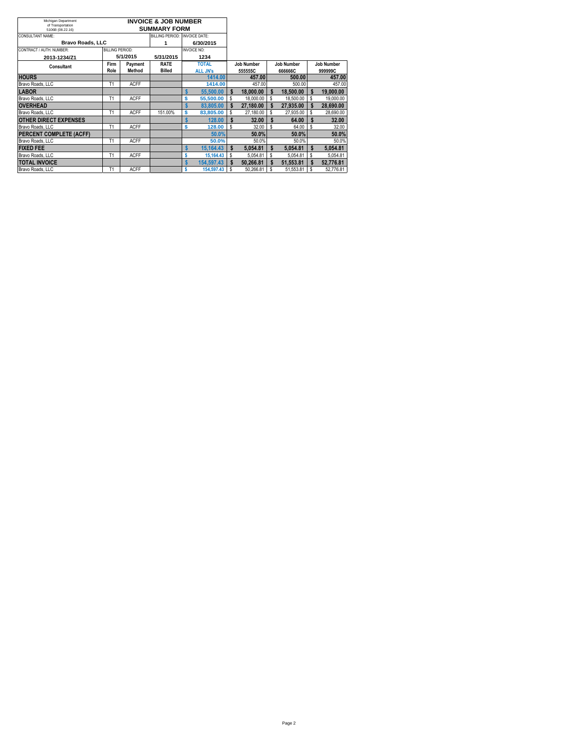| Michigan Department                   | <b>INVOICE &amp; JOB NUMBER</b> |             |                     |              |                    |            |           |                   |                   |         |           |  |
|---------------------------------------|---------------------------------|-------------|---------------------|--------------|--------------------|------------|-----------|-------------------|-------------------|---------|-----------|--|
| of Transportation<br>5106B (08.22.16) |                                 |             | <b>SUMMARY FORM</b> |              |                    |            |           |                   |                   |         |           |  |
| CONSULTANT NAME:                      | BILLING PERIOD: INVOICE DATE:   |             |                     |              |                    |            |           |                   |                   |         |           |  |
| <b>Bravo Roads, LLC</b>               |                                 |             | 1                   |              | 6/30/2015          |            |           |                   |                   |         |           |  |
| CONTRACT / AUTH. NUMBER:              | BILLING PERIOD:                 |             |                     |              | <b>INVOICE NO:</b> |            |           |                   |                   |         |           |  |
| 2013-1234/Z1                          |                                 | 5/1/2015    | 5/31/2015           | 1234         |                    |            |           |                   |                   |         |           |  |
| Firm<br>Payment<br><b>Consultant</b>  |                                 | <b>RATE</b> |                     | <b>TOTAL</b> |                    | Job Number |           | <b>Job Number</b> | <b>Job Number</b> |         |           |  |
|                                       | Role                            | Method      | <b>Billed</b>       |              | <b>ALL JN's</b>    |            | 555555C   |                   | 666666C           | 999999C |           |  |
| <b>HOURS</b>                          |                                 |             |                     |              | 1414.00            |            | 457.00    |                   | 500.00            |         | 457.00    |  |
| Bravo Roads, LLC                      | T <sub>1</sub>                  | <b>ACFF</b> |                     |              | 1414.00            |            | 457.00    |                   | 500.00            |         | 457.00    |  |
| <b>LABOR</b>                          |                                 |             |                     |              | 55,500.00          | \$         | 18.000.00 | \$                | 18,500.00         |         | 19.000.00 |  |
| Bravo Roads, LLC                      | T <sub>1</sub>                  | <b>ACFF</b> |                     | Ś            | 55.500.00          | \$         | 18,000.00 | \$                | 18,500.00         | s       | 19.000.00 |  |
| <b>OVERHEAD</b>                       |                                 |             |                     | Ś            | 83,805,00          | Ŝ          | 27.180.00 | \$                | 27.935.00         | \$      | 28.690.00 |  |
| Bravo Roads, LLC                      | T1                              | <b>ACFF</b> | 151.00%             | Ś            | 83,805.00          | \$         | 27.180.00 | \$                | 27.935.00         | Ŝ       | 28.690.00 |  |
| <b>OTHER DIRECT EXPENSES</b>          |                                 |             |                     | \$           | 128.00             | S          | 32.00     | \$.               | 64.00             |         | 32.00     |  |
| Bravo Roads, LLC                      | T <sub>1</sub>                  | <b>ACFF</b> |                     | Ś            | 128.00             | \$         | 32.00     | Ŝ                 | 64.00             | \$      | 32.00     |  |
| PERCENT COMPLETE (ACFF)               |                                 |             |                     |              | 50.0%              |            | 50.0%     |                   | 50.0%             |         | 50.0%     |  |
| Bravo Roads, LLC                      | T <sub>1</sub>                  | <b>ACFF</b> |                     |              | 50.0%              |            | 50.0%     |                   | 50.0%             |         | 50.0%     |  |
| <b>FIXED FEE</b>                      |                                 |             |                     |              | 15.164.43          | \$         | 5.054.81  | \$                | 5.054.81          | \$      | 5.054.81  |  |
| Bravo Roads, LLC                      | T <sub>1</sub>                  | <b>ACFF</b> |                     |              | 15.164.43          | \$         | 5.054.81  | \$                | 5.054.81          | Ŝ       | 5.054.81  |  |
| <b>TOTAL INVOICE</b>                  |                                 |             |                     |              | 154.597.43         | Ŝ          | 50.266.81 | \$                | 51.553.81         | \$      | 52.776.81 |  |
| Bravo Roads, LLC                      | T <sub>1</sub>                  | <b>ACFF</b> |                     |              | 154,597.43         | \$         | 50.266.81 | \$                | 51,553.81         | Ŝ       | 52,776.81 |  |